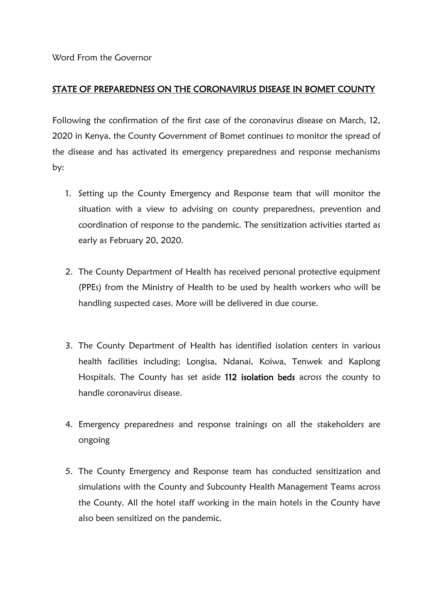Word From the Governor

## STATE OF PREPAREDNESS ON THE CORONAVIRUS DISEASE IN BOMET COUNTY

Following the confirmation of the first case of the coronavirus disease on March, 12, 2020 in Kenya, the County Government of Bomet continues to monitor the spread of the disease and has activated its emergency preparedness and response mechanisms by:

- 1. Setting up the County Emergency and Response team that will monitor the situation with a view to advising on county preparedness, prevention and coordination of response to the pandemic. The sensitization activities started as early as February 20, 2020.
- 2. The County Department of Health has received personal protective equipment (PPEs) from the Ministry of Health to be used by health workers who will be handling suspected cases. More will be delivered in due course.
- 3. The County Department of Health has identified isolation centers in various health facilities including; Longisa, Ndanai, Koiwa, Tenwek and Kaplong Hospitals. The County has set aside 112 isolation beds across the county to handle coronavirus disease.
- 4. Emergency preparedness and response trainings on all the stakeholders are ongoing
- 5. The County Emergency and Response team has conducted sensitization and simulations with the County and Subcounty Health Management Teams across the County. All the hotel staff working in the main hotels in the County have also been sensitized on the pandemic.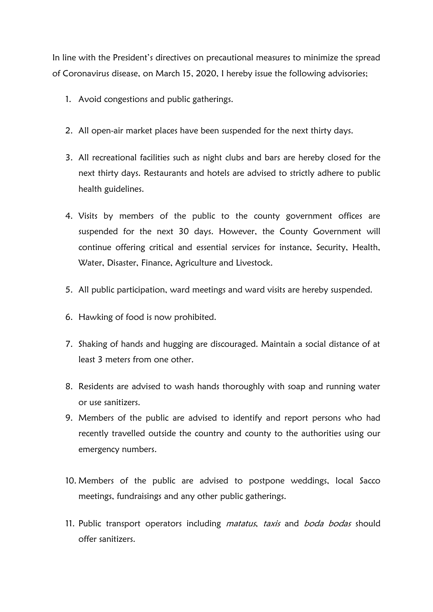In line with the President's directives on precautional measures to minimize the spread of Coronavirus disease, on March 15, 2020, I hereby issue the following advisories;

- 1. Avoid congestions and public gatherings.
- 2. All open-air market places have been suspended for the next thirty days.
- 3. All recreational facilities such as night clubs and bars are hereby closed for the next thirty days. Restaurants and hotels are advised to strictly adhere to public health guidelines.
- 4. Visits by members of the public to the county government offices are suspended for the next 30 days. However, the County Government will continue offering critical and essential services for instance, Security, Health, Water, Disaster, Finance, Agriculture and Livestock.
- 5. All public participation, ward meetings and ward visits are hereby suspended.
- 6. Hawking of food is now prohibited.
- 7. Shaking of hands and hugging are discouraged. Maintain a social distance of at least 3 meters from one other.
- 8. Residents are advised to wash hands thoroughly with soap and running water or use sanitizers.
- 9. Members of the public are advised to identify and report persons who had recently travelled outside the country and county to the authorities using our emergency numbers.
- 10. Members of the public are advised to postpone weddings, local Sacco meetings, fundraisings and any other public gatherings.
- 11. Public transport operators including *matatus*, taxis and boda bodas should offer sanitizers.